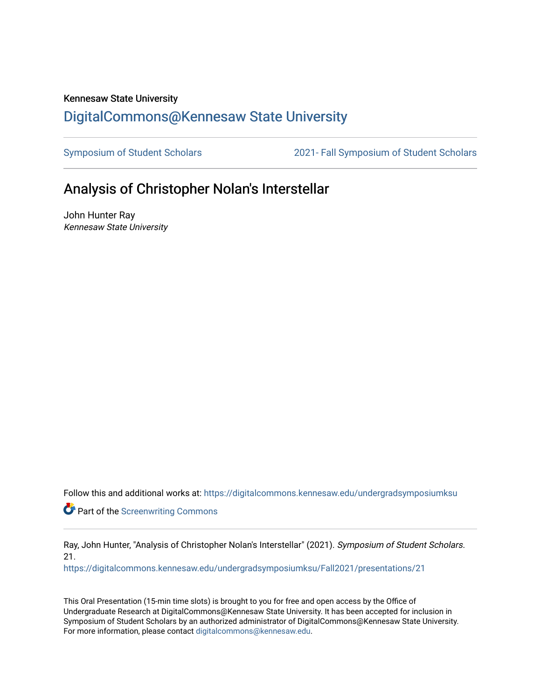## Kennesaw State University [DigitalCommons@Kennesaw State University](https://digitalcommons.kennesaw.edu/)

[Symposium of Student Scholars](https://digitalcommons.kennesaw.edu/undergradsymposiumksu) [2021- Fall Symposium of Student Scholars](https://digitalcommons.kennesaw.edu/undergradsymposiumksu/Fall2021) 

## Analysis of Christopher Nolan's Interstellar

John Hunter Ray Kennesaw State University

Follow this and additional works at: [https://digitalcommons.kennesaw.edu/undergradsymposiumksu](https://digitalcommons.kennesaw.edu/undergradsymposiumksu?utm_source=digitalcommons.kennesaw.edu%2Fundergradsymposiumksu%2FFall2021%2Fpresentations%2F21&utm_medium=PDF&utm_campaign=PDFCoverPages) 

**Part of the Screenwriting Commons** 

Ray, John Hunter, "Analysis of Christopher Nolan's Interstellar" (2021). Symposium of Student Scholars. 21.

[https://digitalcommons.kennesaw.edu/undergradsymposiumksu/Fall2021/presentations/21](https://digitalcommons.kennesaw.edu/undergradsymposiumksu/Fall2021/presentations/21?utm_source=digitalcommons.kennesaw.edu%2Fundergradsymposiumksu%2FFall2021%2Fpresentations%2F21&utm_medium=PDF&utm_campaign=PDFCoverPages) 

This Oral Presentation (15-min time slots) is brought to you for free and open access by the Office of Undergraduate Research at DigitalCommons@Kennesaw State University. It has been accepted for inclusion in Symposium of Student Scholars by an authorized administrator of DigitalCommons@Kennesaw State University. For more information, please contact [digitalcommons@kennesaw.edu.](mailto:digitalcommons@kennesaw.edu)